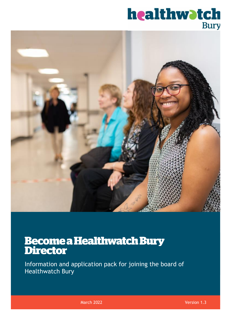# **healthwatch**<br>Bury



## **Become a Healthwatch Bury Director**

Information and application pack for joining the board of Healthwatch Bury

March 2022 Version 1.3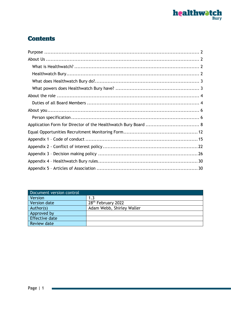

## **Contents**

| Document version control |                                |
|--------------------------|--------------------------------|
| Version                  | 1.3                            |
| Version date             | 28 <sup>th</sup> February 2022 |
| Author(s)                | Adam Webb, Shirley Waller      |
| Approved by              |                                |
| <b>Effective date</b>    |                                |
| <b>Review date</b>       |                                |

Г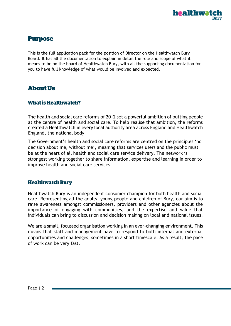

## <span id="page-2-0"></span>**Purpose**

This is the full application pack for the position of Director on the Healthwatch Bury Board. It has all the documentation to explain in detail the role and scope of what it means to be on the board of Healthwatch Bury, with all the supporting documentation for you to have full knowledge of what would be involved and expected.

## <span id="page-2-1"></span>**About Us**

#### <span id="page-2-2"></span>**What is Healthwatch?**

The health and social care reforms of 2012 set a powerful ambition of putting people at the centre of health and social care. To help realise that ambition, the reforms created a Healthwatch in every local authority area across England and Healthwatch England, the national body.

The Government's health and social care reforms are centred on the principles 'no decision about me, without me', meaning that services users and the public must be at the heart of all health and social care service delivery. The network is strongest working together to share information, expertise and learning in order to improve health and social care services.

#### <span id="page-2-3"></span>**Healthwatch Bury**

Healthwatch Bury is an independent consumer champion for both health and social care. Representing all the adults, young people and children of Bury, our aim is to raise awareness amongst commissioners, providers and other agencies about the importance of engaging with communities, and the expertise and value that individuals can bring to discussion and decision making on local and national issues.

<span id="page-2-4"></span>We are a small, focussed organisation working in an ever-changing environment. This means that staff and management have to respond to both internal and external opportunities and challenges, sometimes in a short timescale. As a result, the pace of work can be very fast.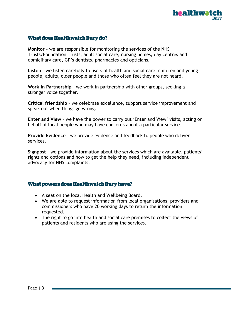

#### **What does Healthwatch Bury do?**

**Monitor –** we are responsible for monitoring the services of the NHS Trusts/Foundation Trusts, adult social care, nursing homes, day centres and domiciliary care, GP's dentists, pharmacies and opticians.

**Listen** – we listen carefully to users of health and social care, children and young people, adults, older people and those who often feel they are not heard.

**Work in Partnership** – we work in partnership with other groups, seeking a stronger voice together.

**Critical friendship** – we celebrate excellence, support service improvement and speak out when things go wrong.

**Enter and View** – we have the power to carry out 'Enter and View' visits, acting on behalf of local people who may have concerns about a particular service.

**Provide Evidence** – we provide evidence and feedback to people who deliver services.

**Signpost** – we provide information about the services which are available, patients' rights and options and how to get the help they need, including independent advocacy for NHS complaints.

#### <span id="page-3-0"></span>**What powers does Healthwatch Bury have?**

- A seat on the local Health and Wellbeing Board.
- We are able to request information from local organisations, providers and commissioners who have 20 working days to return the information requested.
- <span id="page-3-1"></span>• The right to go into health and social care premises to collect the views of patients and residents who are using the services.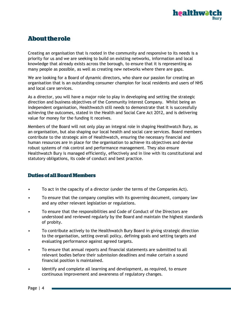

## **About the role**

Creating an organisation that is rooted in the community and responsive to its needs is a priority for us and we are seeking to build on existing networks, information and local knowledge that already exists across the borough, to ensure that it is representing as many people as possible, as well as creating new networks where there are gaps.

We are looking for a Board of dynamic directors, who share our passion for creating an organisation that is an outstanding consumer champion for local residents and users of NHS and local care services.

As a director, you will have a major role to play in developing and setting the strategic direction and business objectives of the Community Interest Company. Whilst being an independent organisation, Healthwatch still needs to demonstrate that it is successfully achieving the outcomes, stated in the Health and Social Care Act 2012, and is delivering value for money for the funding it receives.

Members of the Board will not only play an integral role in shaping Healthwatch Bury, as an organisation, but also shaping our local health and social care services. Board members contribute to the strategic aim of Healthwatch, ensuring the necessary financial and human resources are in place for the organisation to achieve its objectives and devise robust systems of risk control and performance management. They also ensure Healthwatch Bury is managed efficiently, effectively and in line with its constitutional and statutory obligations, its code of conduct and best practice.

#### <span id="page-4-0"></span>**Duties of all Board Members**

- To act in the capacity of a director (under the terms of the Companies Act).
- To ensure that the company complies with its governing document, company law and any other relevant legislation or regulations.
- To ensure that the responsibilities and Code of Conduct of the Directors are understood and reviewed regularly by the Board and maintain the highest standards of probity.
- To contribute actively to the Healthwatch Bury Board in giving strategic direction to the organisation, setting overall policy, defining goals and setting targets and evaluating performance against agreed targets.
- To ensure that annual reports and financial statements are submitted to all relevant bodies before their submission deadlines and make certain a sound financial position is maintained.
- Identify and complete all learning and development, as required, to ensure continuous improvement and awareness of regulatory changes.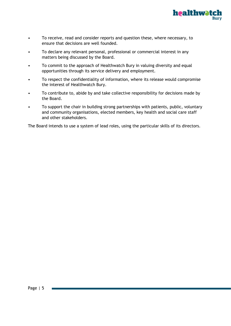

- To receive, read and consider reports and question these, where necessary, to ensure that decisions are well founded.
- To declare any relevant personal, professional or commercial interest in any matters being discussed by the Board.
- To commit to the approach of Healthwatch Bury in valuing diversity and equal opportunities through its service delivery and employment.
- To respect the confidentiality of information, where its release would compromise the interest of Healthwatch Bury.
- To contribute to, abide by and take collective responsibility for decisions made by the Board.
- To support the chair in building strong partnerships with patients, public, voluntary and community organisations, elected members, key health and social care staff and other stakeholders.

<span id="page-5-0"></span>The Board intends to use a system of lead roles, using the particular skills of its directors.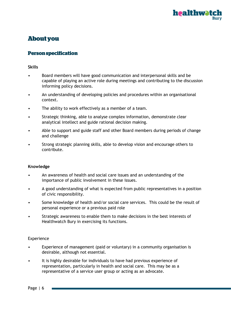

## **About you**

#### <span id="page-6-0"></span>**Person specification**

#### **Skills**

- Board members will have good communication and interpersonal skills and be capable of playing an active role during meetings and contributing to the discussion informing policy decisions.
- An understanding of developing policies and procedures within an organisational context.
- The ability to work effectively as a member of a team.
- Strategic thinking, able to analyse complex information, demonstrate clear analytical intellect and guide rational decision making.
- Able to support and guide staff and other Board members during periods of change and challenge
- Strong strategic planning skills, able to develop vision and encourage others to contribute.

#### **Knowledge**

- An awareness of health and social care issues and an understanding of the importance of public involvement in these issues.
- A good understanding of what is expected from public representatives in a position of civic responsibility.
- Some knowledge of health and/or social care services. This could be the result of personal experience or a previous paid role
- Strategic awareness to enable them to make decisions in the best interests of Healthwatch Bury in exercising its functions.

#### Experience

- Experience of management (paid or voluntary) in a community organisation is desirable, although not essential.
- It is highly desirable for individuals to have had previous experience of representation, particularly in health and social care. This may be as a representative of a service user group or acting as an advocate.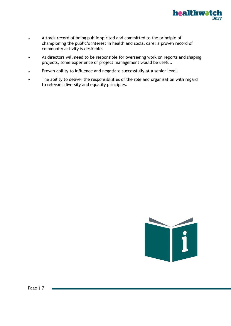

- A track record of being public spirited and committed to the principle of championing the public's interest in health and social care: a proven record of community activity is desirable.
- As directors will need to be responsible for overseeing work on reports and shaping projects, some experience of project management would be useful.
- Proven ability to influence and negotiate successfully at a senior level.
- The ability to deliver the responsibilities of the role and organisation with regard to relevant diversity and equality principles.

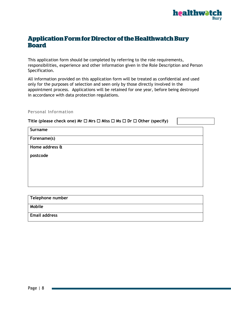

### <span id="page-8-0"></span>**Application Form for Director of the Healthwatch Bury Board**

This application form should be completed by referring to the role requirements, responsibilities, experience and other information given in the Role Description and Person Specification.

All information provided on this application form will be treated as confidential and used only for the purposes of selection and seen only by those directly involved in the appointment process. Applications will be retained for one year, before being destroyed in accordance with data protection regulations.

Personal Information

**Title (please check one) Mr** ☐ **Mrs** ☐ **Miss** ☐ **Ms** ☐ **Dr** ☐ **Other (specify)**

| Surname          |
|------------------|
| Forename(s)      |
| Home address &   |
| postcode         |
|                  |
|                  |
|                  |
|                  |
| Telephone number |
| Mobile           |

**Email address**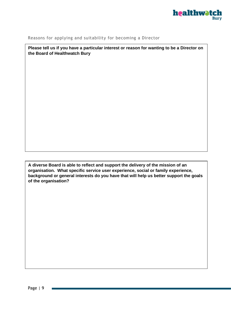

#### Reasons for applying and suitability for becoming a Director

**Please tell us if you have a particular interest or reason for wanting to be a Director on the Board of Healthwatch Bury**

**A diverse Board is able to reflect and support the delivery of the mission of an organisation. What specific service user experience, social or family experience, background or general interests do you have that will help us better support the goals of the organisation?**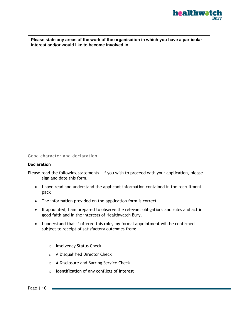

**Please state any areas of the work of the organisation in which you have a particular interest and/or would like to become involved in.**

Good character and declaration

#### **Declaration**

Please read the following statements. If you wish to proceed with your application, please sign and date this form.

- I have read and understand the applicant information contained in the recruitment pack
- The information provided on the application form is correct
- If appointed, I am prepared to observe the relevant obligations and rules and act in good faith and in the interests of Healthwatch Bury.
- I understand that if offered this role, my formal appointment will be confirmed subject to receipt of satisfactory outcomes from:
	- o Insolvency Status Check
	- o A Disqualified Director Check
	- o A Disclosure and Barring Service Check
	- o Identification of any conflicts of interest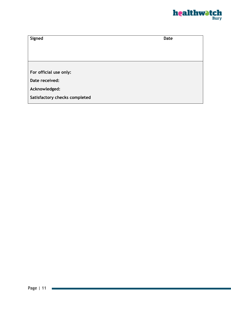

| Signed                        | Date |
|-------------------------------|------|
|                               |      |
|                               |      |
|                               |      |
|                               |      |
| For official use only:        |      |
| Date received:                |      |
| Acknowledged:                 |      |
| Satisfactory checks completed |      |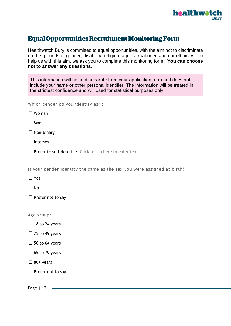

## <span id="page-12-0"></span>**Equal Opportunities Recruitment Monitoring Form**

Healthwatch Bury is committed to equal opportunities, with the aim not to discriminate on the grounds of gender, disability, religion, age, sexual orientation or ethnicity. To help us with this aim, we ask you to complete this monitoring form. **You can choose not to answer any questions.**

This information will be kept separate from your application form and does not include your name or other personal identifier. The information will be treated in the strictest confidence and will used for statistical purposes only.

Which gender do you identify as? :

- ☐ Woman
- ☐ Man

 $\Box$  Non-binary

☐ Intersex

□ Prefer to self-describe: Click or tap here to enter text.

Is your gender identity the same as the sex you were assigned at birth?

☐ Yes

☐ No

□ Prefer not to sav

Age group:

- $\Box$  18 to 24 years
- $\Box$  25 to 49 years
- $\Box$  50 to 64 years
- $\Box$  65 to 79 years
- $\Box$  80+ years
- $\Box$  Prefer not to say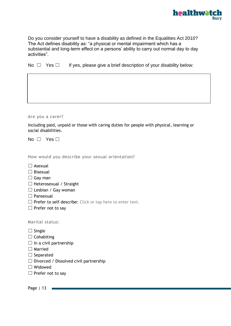

Do you consider yourself to have a disability as defined in the Equalities Act 2010? The Act defines disability as: "a physical or mental impairment which has a substantial and long-term effect on a persons' ability to carry out normal day to day activities".

No  $\Box$  Yes  $\Box$  If yes, please give a brief description of your disability below:

Are you a carer?

Including paid, unpaid or those with caring duties for people with physical, learning or social disabilities.

No □ Yes □

How would you describe your sexual orientation?

- $\square$  Asexual
- □ Bisexual
- $\Box$  Gav man
- $\Box$  Heterosexual / Straight
- □ Lesbian / Gay woman
- □ Pansexual
- □ Prefer to self-describe: Click or tap here to enter text.
- $\Box$  Prefer not to say

Marital status:

- □ Single
- $\Box$  Cohabiting
- $\Box$  In a civil partnership
- ☐ Married
- □ Separated
- $\Box$  Divorced / Dissolved civil partnership
- ☐ Widowed
- □ Prefer not to say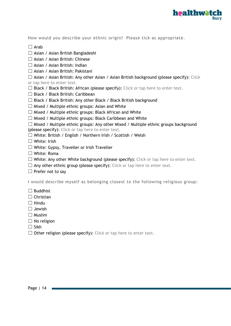

How would you describe your ethnic origin? Please tick as appropriate.

- $\Box$  Arab
- ☐ Asian / Asian British Bangladeshi
- □ Asian / Asian British: Chinese
- □ Asian / Asian British: Indian
- ☐ Asian / Asian British: Pakistani
- $\Box$  Asian / Asian British: Any other Asian / Asian British background (please specify): Click or tap here to enter text.
- $\Box$  Black / Black British: African (please specify): Click or tap here to enter text.
- □ Black / Black British: Caribbean
- $\Box$  Black / Black British: Any other Black / Black British background
- $\Box$  Mixed / Multiple ethnic groups: Asian and White
- $\Box$  Mixed / Multiple ethnic groups: Black African and White
- $\Box$  Mixed / Multiple ethnic groups: Black Caribbean and White
- $\Box$  Mixed / Multiple ethnic groups: Any other Mixed / Multiple ethnic groups background (please specify): Click or tap here to enter text.
- ☐ White: British / English / Northern Irish / Scottish / Welsh
- $\Box$  White: Irish
- ☐ White: Gypsy, Traveller or Irish Traveller
- ☐ White: Roma
- $\Box$  White: Any other White background (please specify): Click or tap here to enter text.
- $\Box$  Any other ethnic group (please specify): Click or tap here to enter text.
- $\Box$  Prefer not to say

I would describe myself as belonging closest to the following religious group:

- □ Buddhist
- $\Box$  Christian
- ☐ Hindu
- ☐ Jewish
- ☐ Muslim
- $\Box$  No religion
- $\Box$  Sikh
- $\Box$  Other religion (please specify): Click or tap here to enter text.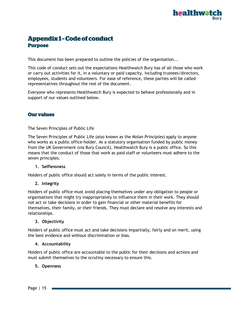

## <span id="page-15-0"></span>**Appendix 1-Code of conduct Purpose**

This document has been prepared to outline the policies of the organisation...

This code of conduct sets out the expectations Healthwatch Bury has of all those who work or carry out activities for it, in a voluntary or paid capacity, including trustees/directors, employees, students and volunteers. For ease of reference, these parties will be called representatives throughout the rest of the document.

Everyone who represents Healthwatch Bury is expected to behave professionally and in support of our values outlined below.

#### **Our values**

The Seven Principles of Public Life

The Seven Principles of Public Life (also known as the *Nolan Principles*) apply to anyone who works as a public office-holder. As a statutory organisation funded by public money from the UK Government (via Bury Council), Healthwatch Bury is a public office. So this means that the conduct of those that work as paid staff or volunteers must adhere to the seven principles.

#### **1. Selflessness**

Holders of public office should act solely in terms of the public interest.

#### **2. Integrity**

Holders of public office must avoid placing themselves under any obligation to people or organisations that might try inappropriately to influence them in their work. They should not act or take decisions in order to gain financial or other material benefits for themselves, their family, or their friends. They must declare and resolve any interests and relationships.

#### **3. Objectivity**

Holders of public office must act and take decisions impartially, fairly and on merit, using the best evidence and without discrimination or bias.

#### **4. Accountability**

Holders of public office are accountable to the public for their decisions and actions and must submit themselves to the scrutiny necessary to ensure this.

#### **5. Openness**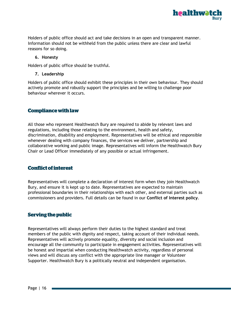

Holders of public office should act and take decisions in an open and transparent manner. Information should not be withheld from the public unless there are clear and lawful reasons for so doing.

#### **6. Honesty**

Holders of public office should be truthful.

#### **7. Leadership**

Holders of public office should exhibit these principles in their own behaviour. They should actively promote and robustly support the principles and be willing to challenge poor behaviour wherever it occurs.

#### **Compliance with law**

All those who represent Healthwatch Bury are required to abide by relevant laws and regulations, including those relating to the environment, health and safety, discrimination, disability and employment. Representatives will be ethical and responsible whenever dealing with company finances, the services we deliver, partnership and collaborative working and public image. Representatives will inform the Healthwatch Bury Chair or Lead Officer immediately of any possible or actual infringement.

#### **Conflict of interest**

Representatives will complete a declaration of interest form when they join Healthwatch Bury, and ensure it is kept up to date. Representatives are expected to maintain professional boundaries in their relationships with each other, and external parties such as commissioners and providers. Full details can be found in our **Conflict of Interest policy**.

#### **Serving the public**

Representatives will always perform their duties to the highest standard and treat members of the public with dignity and respect, taking account of their individual needs. Representatives will actively promote equality, diversity and social inclusion and encourage all the community to participate in engagement activities. Representatives will be honest and impartial when conducting Healthwatch activity, regardless of personal views and will discuss any conflict with the appropriate line manager or Volunteer Supporter. Healthwatch Bury is a politically neutral and independent organisation.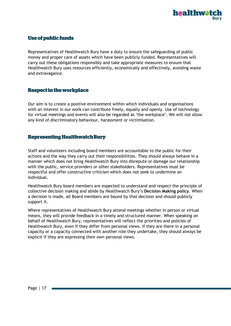

#### **Use of public funds**

Representatives of Healthwatch Bury have a duty to ensure the safeguarding of public money and proper care of assets which have been publicly funded. Representatives will carry out these obligations responsibly and take appropriate measures to ensure that Healthwatch Bury uses resources efficiently, economically and effectively, avoiding waste and extravagance.

#### **Respect in the workplace**

Our aim is to create a positive environment within which individuals and organisations with an interest in our work can contribute freely, equally and openly. Use of technology for virtual meetings and events will also be regarded as 'the workplace'. We will not allow any kind of discriminatory behaviour, harassment or victimisation.

#### **Representing Healthwatch Bury**

Staff and volunteers including board members are accountable to the public for their actions and the way they carry out their responsibilities. They should always behave in a manner which does not bring Healthwatch Bury into disrepute or damage our relationship with the public, service providers or other stakeholders. Representatives must be respectful and offer constructive criticism which does not seek to undermine an individual.

Healthwatch Bury board members are expected to understand and respect the principle of collective decision making and abide by Healthwatch Bury's **Decision Making policy**. When a decision is made, all Board members are bound by that decision and should publicly support it.

Where representatives of Healthwatch Bury attend meetings whether in person or virtual means, they will provide feedback in a timely and structured manner. When speaking on behalf of Healthwatch Bury, representatives will reflect the priorities and policies of Healthwatch Bury, even if they differ from personal views. If they are there in a personal capacity or a capacity connected with another role they undertake, they should always be explicit if they are expressing their own personal views.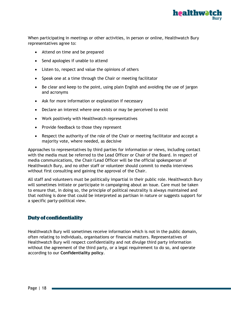

When participating in meetings or other activities, in person or online, Healthwatch Bury representatives agree to:

- Attend on time and be prepared
- Send apologies if unable to attend
- Listen to, respect and value the opinions of others
- Speak one at a time through the Chair or meeting facilitator
- Be clear and keep to the point, using plain English and avoiding the use of jargon and acronyms
- Ask for more information or explanation if necessary
- Declare an interest where one exists or may be perceived to exist
- Work positively with Healthwatch representatives
- Provide feedback to those they represent
- Respect the authority of the role of the Chair or meeting facilitator and accept a majority vote, where needed, as decisive

Approaches to representatives by third parties for information or views, including contact with the media must be referred to the Lead Officer or Chair of the Board. In respect of media communications, the Chair/Lead Officer will be the official spokesperson of Healthwatch Bury, and no other staff or volunteer should commit to media interviews without first consulting and gaining the approval of the Chair.

All staff and volunteers must be politically impartial in their public role. Healthwatch Bury will sometimes initiate or participate in campaigning about an issue. Care must be taken to ensure that, in doing so, the principle of political neutrality is always maintained and that nothing is done that could be interpreted as partisan in nature or suggests support for a specific party-political view.

#### **Duty of confidentiality**

Healthwatch Bury will sometimes receive information which is not in the public domain, often relating to individuals, organisations or financial matters. Representatives of Healthwatch Bury will respect confidentiality and not divulge third party information without the agreement of the third party, or a legal requirement to do so, and operate according to our **Confidentiality policy**.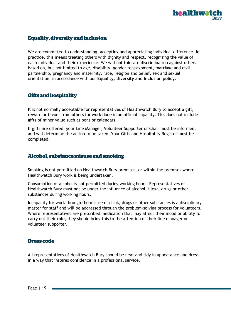

#### **Equality, diversity and inclusion**

We are committed to understanding, accepting and appreciating individual difference. In practice, this means treating others with dignity and respect, recognising the value of each individual and their experience. We will not tolerate discrimination against others based on, but not limited to age, disability, gender reassignment, marriage and civil partnership, pregnancy and maternity, race, religion and belief, sex and sexual orientation, in accordance with our **Equality, Diversity and Inclusion policy**.

#### **Gifts and hospitality**

It is not normally acceptable for representatives of Healthwatch Bury to accept a gift, reward or favour from others for work done in an official capacity. This does not include gifts of minor value such as pens or calendars.

If gifts are offered, your Line Manager, Volunteer Supporter or Chair must be informed, and will determine the action to be taken. Your Gifts and Hospitality Register must be completed.

#### **Alcohol, substance misuse and smoking**

Smoking is not permitted on Healthwatch Bury premises, or within the premises where Healthwatch Bury work is being undertaken.

Consumption of alcohol is not permitted during working hours. Representatives of Healthwatch Bury must not be under the influence of alcohol, illegal drugs or other substances during working hours.

Incapacity for work through the misuse of drink, drugs or other substances is a disciplinary matter for staff and will be addressed through the problem-solving process for volunteers. Where representatives are prescribed medication that may affect their mood or ability to carry out their role, they should bring this to the attention of their line manager or volunteer supporter.

#### **Dress code**

All representatives of Healthwatch Bury should be neat and tidy in appearance and dress in a way that inspires confidence in a professional service.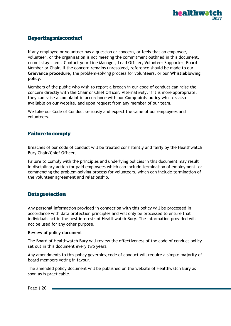

#### **Reporting misconduct**

If any employee or volunteer has a question or concern, or feels that an employee, volunteer, or the organisation is not meeting the commitment outlined in this document, do not stay silent. Contact your Line Manager, Lead Officer, Volunteer Supporter, Board Member or Chair. If the concern remains unresolved, reference should be made to our **Grievance procedure**, the problem-solving process for volunteers, or our **Whistleblowing policy**.

Members of the public who wish to report a breach in our code of conduct can raise the concern directly with the Chair or Chief Officer. Alternatively, if it is more appropriate, they can raise a complaint in accordance with our **Complaints policy** which is also available on our website, and upon request from any member of our team.

We take our Code of Conduct seriously and expect the same of our employees and volunteers.

#### **Failure to comply**

Breaches of our code of conduct will be treated consistently and fairly by the Healthwatch Bury Chair/Chief Officer.

Failure to comply with the principles and underlying policies in this document may result in disciplinary action for paid employees which can include termination of employment, or commencing the problem-solving process for volunteers, which can include termination of the volunteer agreement and relationship.

#### **Data protection**

Any personal information provided in connection with this policy will be processed in accordance with data protection principles and will only be processed to ensure that individuals act in the best interests of Healthwatch Bury. The information provided will not be used for any other purpose.

#### **Review of policy document**

The Board of Healthwatch Bury will review the effectiveness of the code of conduct policy set out in this document every two years.

Any amendments to this policy governing code of conduct will require a simple majority of board members voting in favour.

The amended policy document will be published on the website of Healthwatch Bury as soon as is practicable.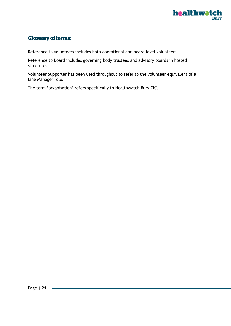

#### **Glossary of terms:**

Reference to volunteers includes both operational and board level volunteers.

Reference to Board includes governing body trustees and advisory boards in hosted structures.

Volunteer Supporter has been used throughout to refer to the volunteer equivalent of a Line Manager role.

The term 'organisation' refers specifically to Healthwatch Bury CIC.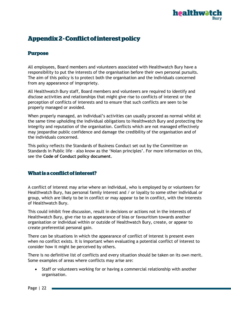

## <span id="page-22-0"></span>**Appendix 2 - Conflict of interest policy**

#### **Purpose**

All employees, Board members and volunteers associated with Healthwatch Bury have a responsibility to put the interests of the organisation before their own personal pursuits. The aim of this policy is to protect both the organisation and the individuals concerned from any appearance of impropriety.

All Healthwatch Bury staff, Board members and volunteers are required to identify and disclose activities and relationships that might give rise to conflicts of interest or the perception of conflicts of interests and to ensure that such conflicts are seen to be properly managed or avoided.

When properly managed, an individual's activities can usually proceed as normal whilst at the same time upholding the individual obligations to Healthwatch Bury and protecting the integrity and reputation of the organisation. Conflicts which are not managed effectively may jeopardise public confidence and damage the credibility of the organisation and of the individuals concerned.

This policy reflects the Standards of Business Conduct set out by the Committee on Standards in Public life – also know as the 'Nolan principles'. For more information on this, see the **Code of Conduct policy document**.

#### What is a conflict of interest?

A conflict of interest may arise where an individual, who is employed by or volunteers for Healthwatch Bury, has personal family interest and / or loyalty to some other individual or group, which are likely to be in conflict or may appear to be in conflict, with the interests of Healthwatch Bury.

This could inhibit free discussion, result in decisions or actions not in the interests of Healthwatch Bury, give rise to an appearance of bias or favouritism towards another organisation or individual within or outside of Healthwatch Bury, create, or appear to create preferential personal gain.

There can be situations in which the appearance of conflict of interest is present even when no conflict exists. It is important when evaluating a potential conflict of interest to consider how it might be perceived by others.

There is no definitive list of conflicts and every situation should be taken on its own merit. Some examples of areas where conflicts may arise are:

• Staff or volunteers working for or having a commercial relationship with another organisation.

Page  $|22|$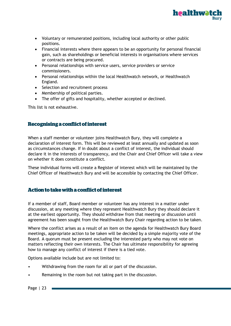

- Voluntary or remunerated positions, including local authority or other public positions.
- Financial interests where there appears to be an opportunity for personal financial gain, such as shareholdings or beneficial interests in organisations where services or contracts are being procured.
- Personal relationships with service users, service providers or service commissioners.
- Personal relationships within the local Healthwatch network, or Healthwatch England.
- Selection and recruitment process
- Membership of political parties.
- The offer of gifts and hospitality, whether accepted or declined.

This list is not exhaustive.

#### **Recognising a conflict of interest**

When a staff member or volunteer joins Healthwatch Bury, they will complete a declaration of interest form. This will be reviewed at least annually and updated as soon as circumstances change. If in doubt about a conflict of interest, the individual should declare it in the interests of transparency, and the Chair and Chief Officer will take a view on whether it does constitute a conflict.

These individual forms will create a Register of interest which will be maintained by the Chief Officer of Healthwatch Bury and will be accessible by contacting the Chief Officer.

#### Action to take with a conflict of interest

If a member of staff, Board member or volunteer has any interest in a matter under discussion, at any meeting where they represent Healthwatch Bury they should declare it at the earliest opportunity. They should withdraw from that meeting or discussion until agreement has been sought from the Healthwatch Bury Chair regarding action to be taken.

Where the conflict arises as a result of an item on the agenda for Healthwatch Bury Board meetings, appropriate action to be taken will be decided by a simple majority vote of the Board. A quorum must be present excluding the interested party who may not vote on matters reflecting their own interests. The Chair has ultimate responsibility for agreeing how to manage any conflict of interest if there is a tied vote.

Options available include but are not limited to:

- Withdrawing from the room for all or part of the discussion.
- Remaining in the room but not taking part in the discussion.

#### Page  $|23|$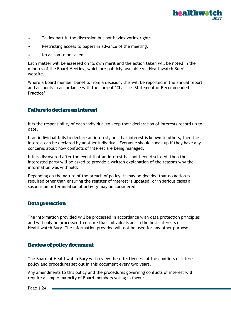

- Taking part in the discussion but not having voting rights.
- Restricting access to papers in advance of the meeting.
- No action to be taken.

Each matter will be assessed on its own merit and the action taken will be noted in the minutes of the Board Meeting, which are publicly available via Healthwatch Bury's website.

Where a Board member benefits from a decision, this will be reported in the annual report and accounts in accordance with the current 'Charities Statement of Recommended Practice'.

#### **Failure to declare an interest**

It is the responsibility of each individual to keep their declaration of interests record up to date.

If an individual fails to declare an interest, but that interest is known to others, then the interest can be declared by another individual. Everyone should speak up if they have any concerns about how conflicts of interest are being managed.

If it is discovered after the event that an interest has not been disclosed, then the interested party will be asked to provide a written explanation of the reasons why the information was withheld.

Depending on the nature of the breach of policy, it may be decided that no action is required other than ensuring the register of interest is updated, or in serious cases a suspension or termination of activity may be considered.

#### **Data protection**

The information provided will be processed in accordance with data protection principles and will only be processed to ensure that individuals act in the best interests of Healthwatch Bury. The information provided will not be used for any other purpose.

#### **Review of policy document**

The Board of Healthwatch Bury will review the effectiveness of the conflicts of interest policy and procedures set out in this document every two years.

Any amendments to this policy and the procedures governing conflicts of interest will require a simple majority of Board members voting in favour.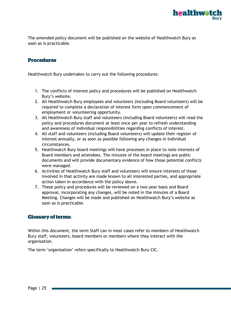

The amended policy document will be published on the website of Healthwatch Bury as soon as is practicable.

#### **Procedures**

Healthwatch Bury undertakes to carry out the following procedures:

- 1. The conflicts of interest policy and procedures will be published on Healthwatch Bury's website.
- 2. All Healthwatch Bury employees and volunteers (including Board volunteers) will be required to complete a declaration of interest form upon commencement of employment or volunteering opportunity.
- 3. All Healthwatch Bury staff and volunteers (including Board volunteers) will read the policy and procedures document at least once per year to refresh understanding and awareness of individual responsibilities regarding conflicts of interest.
- 4. All staff and volunteers (including Board volunteers) will update their register of interest annually, or as soon as possible following any changes in individual circumstances.
- 5. Healthwatch Bury board meetings will have processes in place to note interests of Board members and attendees. The minutes of the board meetings are public documents and will provide documentary evidence of how those potential conflicts were managed.
- 6. Activities of Healthwatch Bury staff and volunteers will ensure interests of those involved in that activity are made known to all interested parties, and appropriate action taken in accordance with the policy above.
- 7. These policy and procedures will be reviewed on a two-year basis and Board approval, incorporating any changes, will be noted in the minutes of a Board Meeting. Changes will be made and published on Healthwatch Bury's website as soon as is practicable.

#### **Glossary of terms:**

Within this document, the term Staff can in most cases refer to members of Healthwatch Bury staff, volunteers, board members or members where they interact with the organisation.

The term 'organisation' refers specifically to Healthwatch Bury CIC.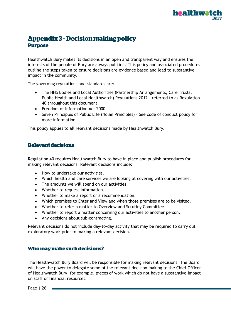

## <span id="page-26-0"></span>**Appendix 3 - Decision making policy Purpose**

Healthwatch Bury makes its decisions in an open and transparent way and ensures the interests of the people of Bury are always put first. This policy and associated procedures outline the steps taken to ensure decisions are evidence based and lead to substantive impact in the community.

The governing regulations and standards are:

- The NHS Bodies and Local Authorities (Partnership Arrangements, Care Trusts, Public Health and Local Healthwatch) Regulations 2012 – referred to as Regulation 40 throughout this document.
- Freedom of Information Act 2000.
- Seven Principles of Public Life (Nolan Principles) See code of conduct policy for more information.

This policy applies to all relevant decisions made by Healthwatch Bury.

#### **Relevant decisions**

Regulation 40 requires Healthwatch Bury to have in place and publish procedures for making relevant decisions. Relevant decisions include:

- How to undertake our activities.
- Which health and care services we are looking at covering with our activities.
- The amounts we will spend on our activities.
- Whether to request information.
- Whether to make a report or a recommendation.
- Which premises to Enter and View and when those premises are to be visited.
- Whether to refer a matter to Overview and Scrutiny Committee.
- Whether to report a matter concerning our activities to another person.
- Any decisions about sub-contracting.

Relevant decisions do not include day-to-day activity that may be required to carry out exploratory work prior to making a relevant decision.

#### Who may make such decisions?

The Healthwatch Bury Board will be responsible for making relevant decisions. The Board will have the power to delegate some of the relevant decision making to the Chief Officer of Healthwatch Bury, for example, pieces of work which do not have a substantive impact on staff or financial resources.

Page  $\vert$  26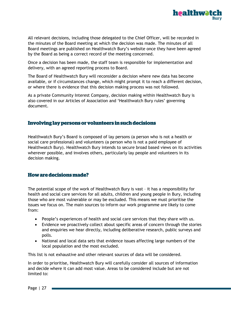

All relevant decisions, including those delegated to the Chief Officer, will be recorded in the minutes of the Board meeting at which the decision was made. The minutes of all Board meetings are published on Healthwatch Bury's website once they have been agreed by the Board as being a correct record of the meeting concerned.

Once a decision has been made, the staff team is responsible for implementation and delivery, with an agreed reporting process to Board.

The Board of Healthwatch Bury will reconsider a decision where new data has become available, or if circumstances change, which might prompt it to reach a different decision, or where there is evidence that this decision making process was not followed.

As a private Community Interest Company, decision making within Healthwatch Bury is also covered in our Articles of Association and 'Healthwatch Bury rules' governing document.

#### Involving lay persons or volunteers in such decisions

Healthwatch Bury's Board is composed of lay persons (a person who is not a health or social care professional) and volunteers (a person who is not a paid employee of Healthwatch Bury). Healthwatch Bury intends to secure broad based views on its activities wherever possible, and involves others, particularly lay people and volunteers in its decision making.

#### **How are decisions made?**

The potential scope of the work of Healthwatch Bury is vast – it has a responsibility for health and social care services for all adults, children and young people in Bury, including those who are most vulnerable or may be excluded. This means we must prioritise the issues we focus on. The main sources to inform our work programme are likely to come from:

- People's experiences of health and social care services that they share with us.
- Evidence we proactively collect about specific areas of concern through the stories and enquiries we hear directly, including deliberative research, public surveys and polls.
- National and local data sets that evidence issues affecting large numbers of the local population and the most excluded.

This list is not exhaustive and other relevant sources of data will be considered.

In order to prioritise, Healthwatch Bury will carefully consider all sources of information and decide where it can add most value. Areas to be considered include but are not limited to: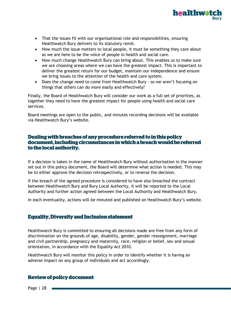

- That the issues fit with our organisational role and responsibilities, ensuring Healthwatch Bury delivers to its statutory remit.
- How much the issue matters to local people, it must be something they care about as we are here to be the voice of people in health and social care.
- How much change Healthwatch Bury can bring about. This enables us to make sure we are choosing areas where we can have the greatest impact. This is important to deliver the greatest return for our budget, maintain our independence and ensure we bring issues to the attention of the health and care system.
- Does the change need to come from Healthwatch Bury so we aren't focusing on things that others can do more easily and effectively?

Finally, the Board of Healthwatch Bury will consider our work as a full set of priorities, as together they need to have the greatest impact for people using health and social care services.

Board meetings are open to the public, and minutes recording decisions will be available via Healthwatch Bury's website.

#### Dealing with breaches of any procedure referred to in this policy document, including circumstances in which a breach would be referred to the local authority.

If a decision is taken in the name of Healthwatch Bury without authorisation in the manner set out in this policy document, the Board will determine what action is needed. This may be to either approve the decision retrospectively, or to reverse the decision.

If the breach of the agreed procedure is considered to have also breached the contract between Healthwatch Bury and Bury Local Authority, it will be reported to the Local Authority and further action agreed between the Local Authority and Healthwatch Bury.

In each eventuality, actions will be minuted and published on Healthwatch Bury's website.

#### **Equality, Diversity and Inclusion statement**

Healthwatch Bury is committed to ensuring all decisions made are free from any form of discrimination on the grounds of age, disability, gender, gender reassignment, marriage and civil partnership, pregnancy and maternity, race, religion or belief, sex and sexual orientation, in accordance with the Equality Act 2010.

Healthwatch Bury will monitor this policy in order to identify whether it is having an adverse impact on any group of individuals and act accordingly.

#### **Review of policy document**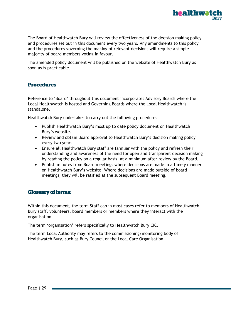The Board of Healthwatch Bury will review the effectiveness of the decision making policy and procedures set out in this document every two years. Any amendments to this policy and the procedures governing the making of relevant decisions will require a simple majority of board members voting in favour.

healthwa

The amended policy document will be published on the website of Healthwatch Bury as soon as is practicable.

#### **Procedures**

Reference to 'Board' throughout this document incorporates Advisory Boards where the Local Healthwatch is hosted and Governing Boards where the Local Healthwatch is standalone.

Healthwatch Bury undertakes to carry out the following procedures:

- Publish Healthwatch Bury's most up to date policy document on Healthwatch Bury's website.
- Review and obtain Board approval to Healthwatch Bury's decision making policy every two years.
- Ensure all Healthwatch Bury staff are familiar with the policy and refresh their understanding and awareness of the need for open and transparent decision making by reading the policy on a regular basis, at a minimum after review by the Board.
- Publish minutes from Board meetings where decisions are made in a timely manner on Healthwatch Bury's website. Where decisions are made outside of board meetings, they will be ratified at the subsequent Board meeting.

#### **Glossary of terms:**

Within this document, the term Staff can in most cases refer to members of Healthwatch Bury staff, volunteers, board members or members where they interact with the organisation.

The term 'organisation' refers specifically to Healthwatch Bury CIC.

The term Local Authority may refers to the commissioning/monitoring body of Healthwatch Bury, such as Bury Council or the Local Care Organisation.